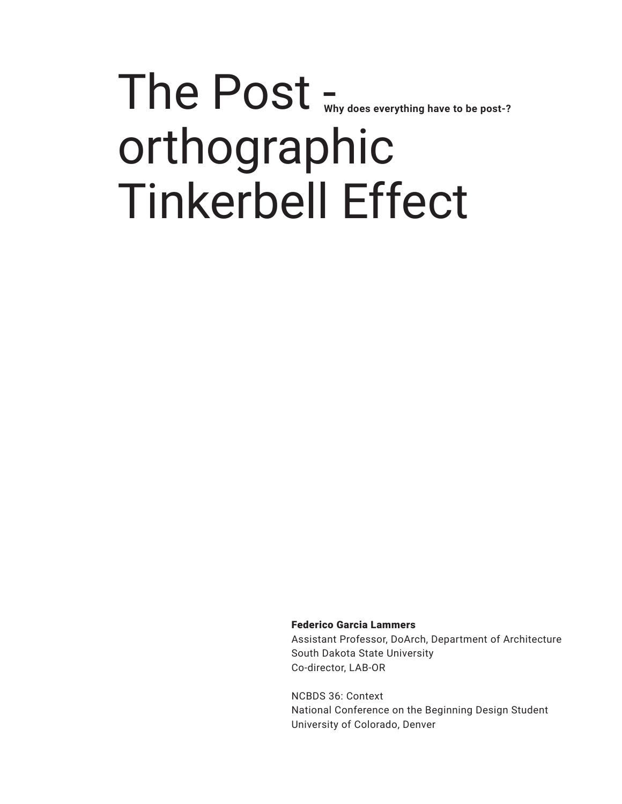# The Post - **Why does everything have to be post-?**orthographic Tinkerbell Effect

Federico Garcia Lammers

Assistant Professor, DoArch, Department of Architecture South Dakota State University Co-director, LAB-OR

NCBDS 36: Context National Conference on the Beginning Design Student University of Colorado, Denver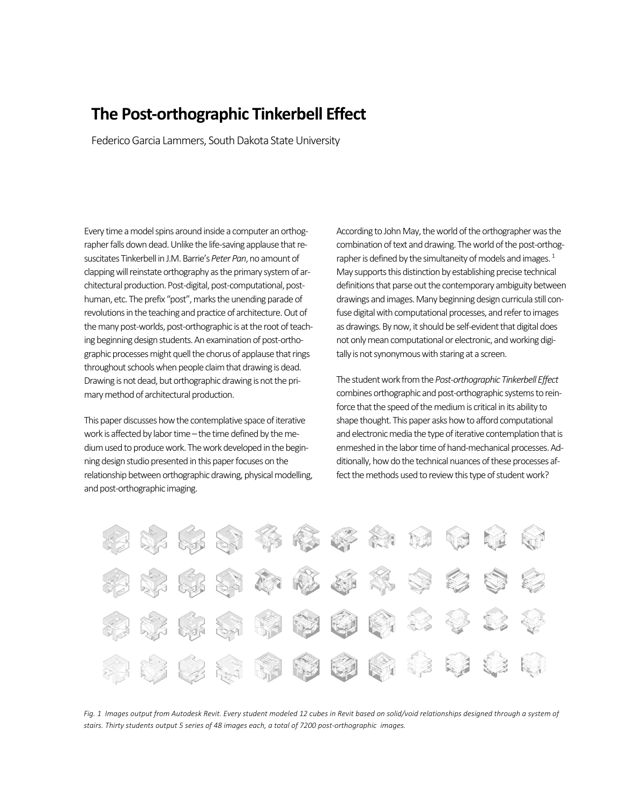# **The Post‐orthographic Tinkerbell Effect**

Federico Garcia Lammers, South Dakota State University

Every time a model spins around inside a computer an orthog‐ rapher falls down dead. Unlike the life‐saving applause that re‐ suscitates Tinkerbell in J.M. Barrie's *Peter Pan*, no amount of clapping will reinstate orthography as the primary system of ar‐ chitectural production. Post‐digital, post‐computational, post‐ human, etc. The prefix "post", marks the unending parade of revolutions in the teaching and practice of architecture. Out of the many post‐worlds, post‐orthographic is at the root of teach‐ ing beginning design students. An examination of post‐ortho‐ graphic processes might quell the chorus of applause that rings throughout schools when people claim that drawing is dead. Drawing is not dead, but orthographic drawing is not the pri‐ mary method of architectural production.

This paper discusses how the contemplative space of iterative work is affected by labor time – the time defined by the me‐ dium used to produce work. The work developed in the begin‐ ning design studio presented in this paper focuses on the relationship between orthographic drawing, physical modelling, and post‐orthographic imaging.

According to John May, the world of the orthographer was the combination of text and drawing. The world of the post-orthographer is defined by the simultaneity of models and images.<sup>1</sup> May supports this distinction by establishing precise technical definitions that parse out the contemporary ambiguity between drawings and images. Many beginning design curricula still con‐ fuse digital with computational processes, and refer to images as drawings. By now, it should be self‐evident that digital does not only mean computational or electronic, and working digi‐ tally is not synonymous with staring at a screen.

The student work from the *Post‐orthographic Tinkerbell Effect* combines orthographic and post‐orthographic systems to rein‐ force that the speed of the medium is critical in its ability to shape thought. This paper asks how to afford computational and electronic media the type of iterative contemplation that is enmeshed in the labor time of hand‐mechanical processes. Ad‐ ditionally, how do the technical nuances of these processes af‐ fect the methods used to review this type of student work?



Fig. 1 Images output from Autodesk Revit. Every student modeled 12 cubes in Revit based on solid/void relationships designed through a system of *stairs. Thirty students output 5 series of 48 images each, a total of 7200 post‐orthographic images.*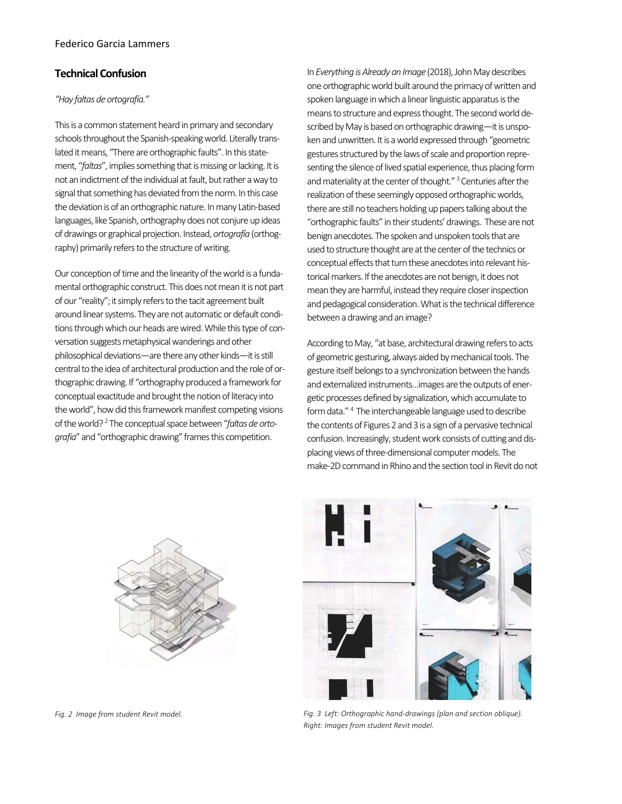# **Technical Confusion**

### *"Hay faltas de ortografía."*

This is a common statement heard in primary and secondary schools throughout the Spanish‐speaking world. Literally trans‐ lated it means, "There are orthographic faults". In this state‐ ment, "*faltas*", implies something that is missing or lacking. It is not an indictment of the individual at fault, but rather a way to signal that something has deviated from the norm. In this case the deviation is of an orthographic nature. In many Latin‐based languages, like Spanish, orthography does not conjure up ideas of drawings or graphical projection. Instead, *ortografía* (orthog‐ raphy) primarily refers to the structure of writing.

Our conception of time and the linearity of the world is a funda‐ mental orthographic construct. This does not mean it is not part of our "reality"; it simply refers to the tacit agreement built around linear systems. They are not automatic or default condi‐ tions through which our heads are wired. While this type of con‐ versation suggests metaphysical wanderings and other philosophical deviations—are there any other kinds—it is still central to the idea of architectural production and the role of or‐ thographic drawing. If "orthography produced a framework for conceptual exactitude and brought the notion of literacy into the world", how did this framework manifest competing visions of the world? 2 The conceptual space between "*faltas de orto‐ grafia*" and "orthographic drawing" frames this competition.

In *Everything is Already an Image* (2018), John May describes one orthographic world built around the primacy of written and spoken language in which a linear linguistic apparatus is the means to structure and express thought. The second world de‐ scribed by May is based on orthographic drawing—it is unspoken and unwritten. It is a world expressed through "geometric gestures structured by the laws of scale and proportion repre‐ senting the silence of lived spatial experience, thus placing form and materiality at the center of thought."<sup>3</sup> Centuries after the realization of these seemingly opposed orthographic worlds, there are still no teachers holding up papers talking about the "orthographic faults" in their students' drawings. These are not benign anecdotes. The spoken and unspoken tools that are used to structure thought are at the center of the technics or conceptual effects that turn these anecdotes into relevant his‐ torical markers. If the anecdotes are not benign, it does not mean they are harmful, instead they require closer inspection and pedagogical consideration. What is the technical difference between a drawing and an image?

According to May, "at base, architectural drawing refers to acts of geometric gesturing, always aided by mechanical tools. The gesture itself belongs to a synchronization between the hands and externalized instruments…images are the outputs of ener‐ getic processes defined by signalization, which accumulate to form data."<sup>4</sup> The interchangeable language used to describe the contents of Figures 2 and 3 is a sign of a pervasive technical confusion. Increasingly, student work consists of cutting and dis‐ placing views of three‐dimensional computer models. The make‐2D command in Rhino and the section tool in Revit do not



*Fig. 2 Image from student Revit model.*



*Fig. 3 Left: Orthographic hand‐drawings (plan and section oblique). Right: Images from student Revit model.*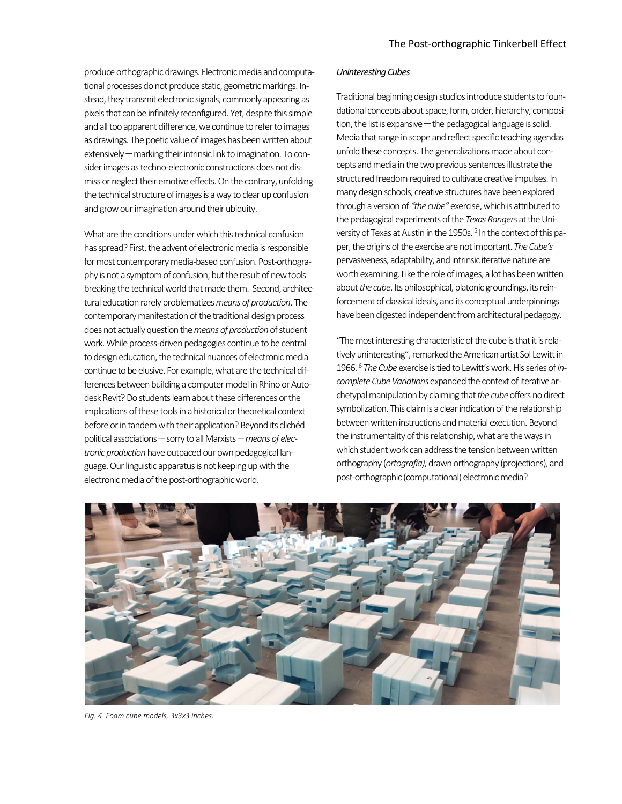produce orthographic drawings. Electronic media and computa‐ tional processes do not produce static, geometric markings. In‐ stead, they transmit electronic signals, commonly appearing as pixels that can be infinitely reconfigured. Yet, despite this simple and all too apparent difference, we continue to refer to images as drawings. The poetic value of images has been written about extensively — marking their intrinsic link to imagination. To consider images as techno-electronic constructions does not dismiss or neglect their emotive effects. On the contrary, unfolding the technical structure of images is a way to clear up confusion and grow our imagination around their ubiquity.

What are the conditions under which this technical confusion has spread? First, the advent of electronic media is responsible for most contemporary media‐based confusion. Post‐orthogra‐ phy is not a symptom of confusion, but the result of new tools breaking the technical world that made them. Second, architec‐ tural education rarely problematizes *means of production*. The contemporary manifestation of the traditional design process does not actually question the *means of production* of student work. While process‐driven pedagogies continue to be central to design education, the technical nuances of electronic media continue to be elusive. For example, what are the technical dif‐ ferences between building a computer model in Rhino or Autodesk Revit? Do students learn about these differences or the implications of these tools in a historical or theoretical context before or in tandem with their application? Beyond its clichéd political associations – sorry to all Marxists – means of elec*tronic production* have outpaced our own pedagogical lan‐ guage. Our linguistic apparatus is not keeping up with the electronic media of the post‐orthographic world.

#### *Uninteresting Cubes*

Traditional beginning design studios introduce students to foun‐ dational concepts about space, form, order, hierarchy, composition, the list is expansive  $-$  the pedagogical language is solid. Media that range in scope and reflect specific teaching agendas unfold these concepts. The generalizations made about con‐ cepts and media in the two previous sentences illustrate the structured freedom required to cultivate creative impulses. In many design schools, creative structures have been explored through a version of *"the cube"* exercise, which is attributed to the pedagogical experiments of the *Texas Rangers* at the Uni‐ versity of Texas at Austin in the 1950s.<sup>5</sup> In the context of this paper, the origins of the exercise are not important. *The Cube's* pervasiveness, adaptability, and intrinsic iterative nature are worth examining. Like the role of images, a lot has been written about *the cube*. Its philosophical, platonic groundings, its rein‐ forcement of classical ideals, and its conceptual underpinnings have been digested independent from architectural pedagogy.

"The most interesting characteristic of the cube is that it is rela‐ tively uninteresting", remarked the American artist Sol Lewitt in 1966. 6 *The Cube* exercise is tied to Lewitt's work. His series of *In‐ complete Cube Variations* expanded the context of iterative ar‐ chetypal manipulation by claiming that *the cube* offers no direct symbolization. This claim is a clear indication of the relationship between written instructions and material execution. Beyond the instrumentality of this relationship, what are the ways in which student work can address the tension between written orthography (*ortografía)*, drawn orthography (projections), and post‐orthographic (computational) electronic media?



*Fig. 4 Foam cube models, 3x3x3 inches.*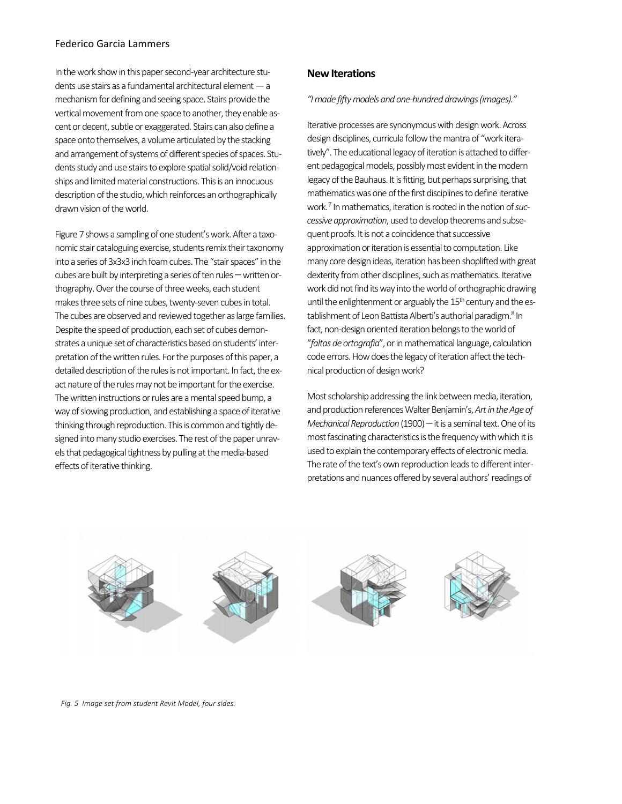# Federico Garcia Lammers

In the work show in this paper second‐year architecture stu‐ dents use stairs as a fundamental architectural element — a mechanism for defining and seeing space. Stairs provide the vertical movement from one space to another, they enable ascent or decent, subtle or exaggerated. Stairs can also define a space onto themselves, a volume articulated by the stacking and arrangement of systems of different species of spaces. Students study and use stairs to explore spatial solid/void relation‐ ships and limited material constructions. This is an innocuous description of the studio, which reinforces an orthographically drawn vision of the world.

Figure 7 shows a sampling of one student's work. After a taxonomic stair cataloguing exercise, students remix their taxonomy into a series of 3x3x3 inch foam cubes. The "stair spaces" in the cubes are built by interpreting a series of ten rules – written orthography. Over the course of three weeks, each student makes three sets of nine cubes, twenty‐seven cubes in total. The cubes are observed and reviewed together as large families. Despite the speed of production, each set of cubes demon‐ strates a unique set of characteristics based on students' inter‐ pretation of the written rules. For the purposes of this paper, a detailed description of the rules is not important. In fact, the ex‐ act nature of the rules may not be important for the exercise. The written instructions or rules are a mental speed bump, a way of slowing production, and establishing a space of iterative thinking through reproduction. This is common and tightly de‐ signed into many studio exercises. The rest of the paper unravels that pedagogical tightness by pulling at the media‐based effects of iterative thinking.

# **New Iterations**

*"I made fifty models and one‐hundred drawings (images)."* 

Iterative processes are synonymous with design work. Across design disciplines, curricula follow the mantra of "work itera‐ tively". The educational legacy of iteration is attached to differ‐ ent pedagogical models, possibly most evident in the modern legacy of the Bauhaus. It is fitting, but perhaps surprising, that mathematics was one of the first disciplines to define iterative work. 7 In mathematics, iteration is rooted in the notion of *suc‐ cessive approximation*, used to develop theorems and subse‐ quent proofs. It is not a coincidence that successive approximation or iteration is essential to computation. Like many core design ideas, iteration has been shoplifted with great dexterity from other disciplines, such as mathematics. Iterative work did not find its way into the world of orthographic drawing until the enlightenment or arguably the  $15<sup>th</sup>$  century and the establishment of Leon Battista Alberti's authorial paradigm.<sup>8</sup> In fact, non-design oriented iteration belongs to the world of "*faltas de ortografia*", or in mathematical language, calculation code errors. How does the legacy of iteration affect the technical production of design work?

Most scholarship addressing the link between media, iteration, and production references Walter Benjamin's, *Art in the Age of Mechanical Reproduction* (1900) – it is a seminal text. One of its most fascinating characteristics is the frequency with which it is used to explain the contemporary effects of electronic media. The rate of the text's own reproduction leads to different inter‐ pretations and nuances offered by several authors' readings of



*Fig. 5 Image set from student Revit Model, four sides.*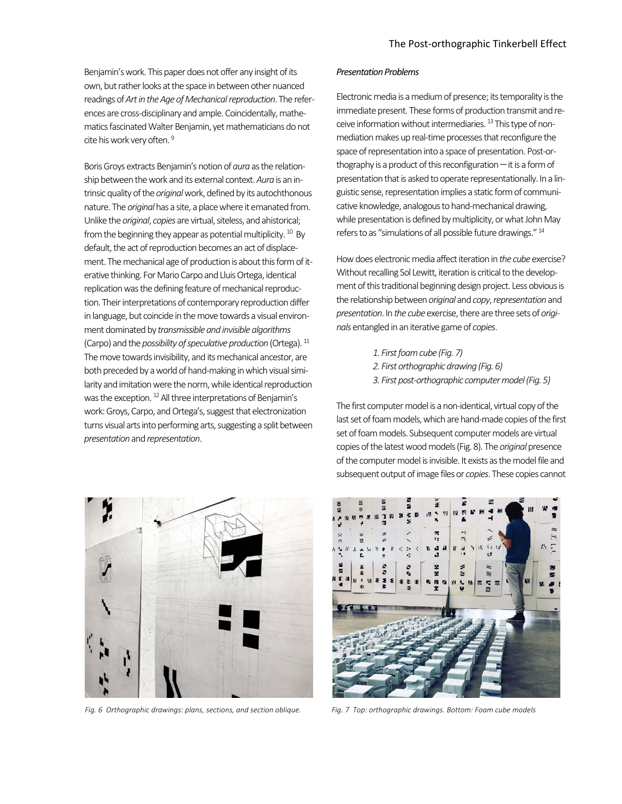Benjamin's work. This paper does not offer any insight of its own, but rather looks at the space in between other nuanced readings of *Art in the Age of Mechanical reproduction*. The refer‐ ences are cross‐disciplinary and ample. Coincidentally, mathe‐ matics fascinated Walter Benjamin, yet mathematicians do not cite his work very often. 9

Boris Groys extracts Benjamin's notion of *aura* as the relation‐ ship between the work and its external context. *Aura* is an in‐ trinsic quality of the *original* work, defined by its autochthonous nature. The *original* has a site, a place where it emanated from. Unlike the *original*, *copies* are virtual, siteless, and ahistorical; from the beginning they appear as potential multiplicity. <sup>10</sup> By default, the act of reproduction becomes an act of displace‐ ment. The mechanical age of production is about this form of iterative thinking. For Mario Carpo and Lluis Ortega, identical replication was the defining feature of mechanical reproduc‐ tion. Their interpretations of contemporary reproduction differ in language, but coincide in the move towards a visual environ‐ ment dominated by *transmissible and invisible algorithms* (Carpo) and the *possibility of speculative production* (Ortega). 11 The move towards invisibility, and its mechanical ancestor, are both preceded by a world of hand‐making in which visual simi‐ larity and imitation were the norm, while identical reproduction was the exception. <sup>12</sup> All three interpretations of Benjamin's work: Groys, Carpo, and Ortega's, suggest that electronization turns visual arts into performing arts, suggesting a split between *presentation* and *representation*.



Fig. 6 Orthographic drawings: plans, sections, and section oblique. Fig. 7 Top: orthographic drawings. Bottom: Foam cube models

#### *Presentation Problems*

Electronic media is a medium of presence; its temporality is the immediate present. These forms of production transmit and re‐ ceive information without intermediaries. <sup>13</sup> This type of nonmediation makes up real-time processes that reconfigure the space of representation into a space of presentation. Post-orthography is a product of this reconfiguration  $-$  it is a form of presentation that is asked to operate representationally. In a lin‐ guistic sense, representation implies a static form of communi‐ cative knowledge, analogous to hand‐mechanical drawing, while presentation is defined by multiplicity, or what John May refers to as "simulations of all possible future drawings." 14

How does electronic media affect iteration in *the cube* exercise? Without recalling Sol Lewitt, iteration is critical to the development of this traditional beginning design project. Less obvious is the relationship between *original* and *copy*, *representation* and *presentation*. In *the cube* exercise, there are three sets of *origi‐ nals* entangled in an iterative game of *copies*.

> *1. First foam cube (Fig. 7) 2. First orthographic drawing (Fig. 6) 3. First post‐orthographic computer model (Fig. 5)*

The first computer model is a non-identical, virtual copy of the last set of foam models, which are hand‐made copies of the first set of foam models. Subsequent computer models are virtual copies of the latest wood models (Fig. 8). The *original* presence of the computer model is invisible. It exists as the model file and subsequent output of image files or *copies*. These copies cannot

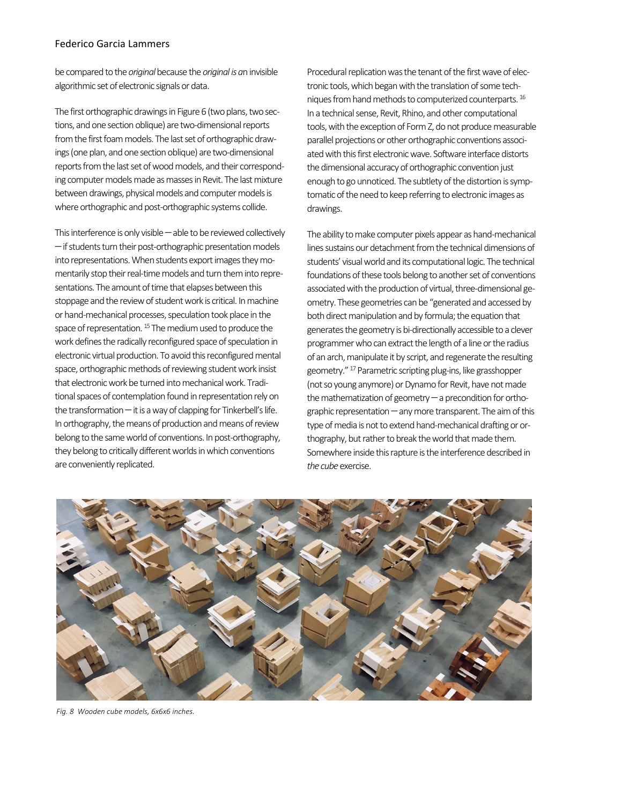## Federico Garcia Lammers

be compared to the *original* because the *original is a*n invisible algorithmic set of electronic signals or data.

The first orthographic drawings in Figure 6 (two plans, two sec‐ tions, and one section oblique) are two‐dimensional reports from the first foam models. The last set of orthographic draw‐ ings (one plan, and one section oblique) are two‐dimensional reports from the last set of wood models, and their correspond‐ ing computer models made as masses in Revit. The last mixture between drawings, physical models and computer models is where orthographic and post‐orthographic systems collide.

This interference is only visible  $-\text{able}$  to be reviewed collectively - if students turn their post-orthographic presentation models into representations. When students export images they momentarily stop their real-time models and turn them into representations. The amount of time that elapses between this stoppage and the review of student work is critical. In machine or hand‐mechanical processes, speculation took place in the space of representation.<sup>15</sup> The medium used to produce the work defines the radically reconfigured space of speculation in electronic virtual production. To avoid this reconfigured mental space, orthographic methods of reviewing student work insist that electronic work be turned into mechanical work. Tradi‐ tional spaces of contemplation found in representation rely on the transformation  $-$  it is a way of clapping for Tinkerbell's life. In orthography, the means of production and means of review belong to the same world of conventions. In post‐orthography, they belong to critically different worlds in which conventions are conveniently replicated.

Procedural replication was the tenant of the first wave of elec‐ tronic tools, which began with the translation of some tech‐ niques from hand methods to computerized counterparts. 16 In a technical sense, Revit, Rhino, and other computational tools, with the exception of Form Z, do not produce measurable parallel projections or other orthographic conventions associ‐ ated with this first electronic wave. Software interface distorts the dimensional accuracy of orthographic convention just enough to go unnoticed. The subtlety of the distortion is symptomatic of the need to keep referring to electronic images as drawings.

The ability to make computer pixels appear as hand‐mechanical lines sustains our detachment from the technical dimensions of students' visual world and its computational logic. The technical foundations of these tools belong to another set of conventions associated with the production of virtual, three‐dimensional ge‐ ometry. These geometries can be "generated and accessed by both direct manipulation and by formula; the equation that generates the geometry is bi‐directionally accessible to a clever programmer who can extract the length of a line or the radius of an arch, manipulate it by script, and regenerate the resulting geometry." 17 Parametric scripting plug‐ins, like grasshopper (not so young anymore) or Dynamo for Revit, have not made the mathematization of geometry  $-$  a precondition for orthographic representation  $-$  any more transparent. The aim of this type of media is not to extend hand‐mechanical drafting or or‐ thography, but rather to break the world that made them. Somewhere inside this rapture is the interference described in *the cube* exercise.



*Fig. 8 Wooden cube models, 6x6x6 inches.*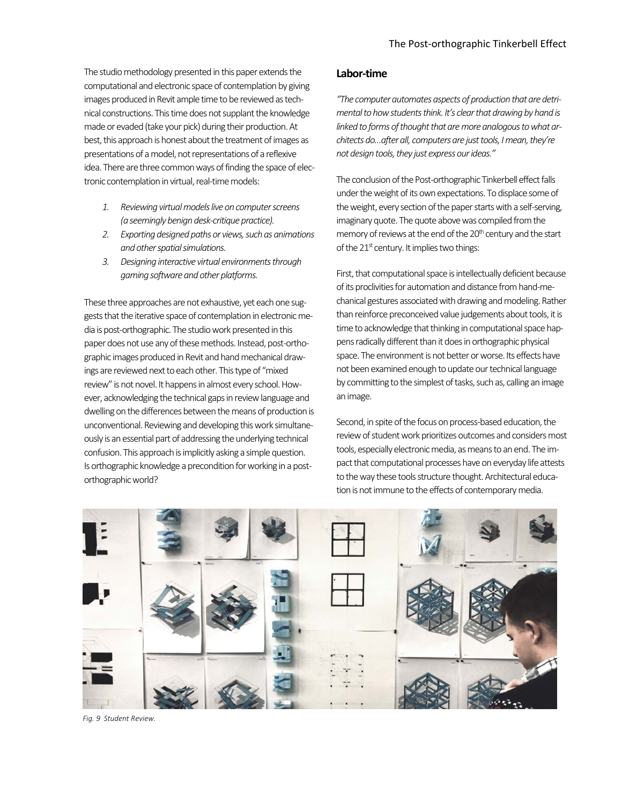The studio methodology presented in this paper extends the computational and electronic space of contemplation by giving images produced in Revit ample time to be reviewed as tech‐ nical constructions. This time does not supplant the knowledge made or evaded (take your pick) during their production. At best, this approach is honest about the treatment of images as presentations of a model, not representations of a reflexive idea. There are three common ways of finding the space of electronic contemplation in virtual, real‐time models:

- *1. Reviewing virtual models live on computer screens (a seemingly benign desk‐critique practice).*
- *2. Exporting designed paths or views, such as animations and other spatial simulations.*
- *3. Designing interactive virtual environments through gaming software and other platforms.*

These three approaches are not exhaustive, yet each one suggests that the iterative space of contemplation in electronic me‐ dia is post‐orthographic. The studio work presented in this paper does not use any of these methods. Instead, post‐ortho‐ graphic images produced in Revit and hand mechanical draw‐ ings are reviewed next to each other. This type of "mixed review" is not novel. It happens in almost every school. How‐ ever, acknowledging the technical gaps in review language and dwelling on the differences between the means of production is unconventional. Reviewing and developing this work simultane‐ ously is an essential part of addressing the underlying technical confusion. This approach is implicitly asking a simple question. Is orthographic knowledge a precondition for working in a post‐ orthographic world?

# **Labor‐time**

*"The computer automates aspects of production that are detri‐ mental to how students think. It's clear that drawing by hand is linked to forms of thought that are more analogous to what ar‐ chitects do…after all, computers are just tools, I mean, they're not design tools, they just express our ideas."* 

The conclusion of the Post-orthographic Tinkerbell effect falls under the weight of its own expectations. To displace some of the weight, every section of the paper starts with a self‐serving, imaginary quote. The quote above was compiled from the memory of reviews at the end of the 20<sup>th</sup> century and the start of the  $21<sup>st</sup>$  century. It implies two things:

First, that computational space is intellectually deficient because of its proclivities for automation and distance from hand‐me‐ chanical gestures associated with drawing and modeling. Rather than reinforce preconceived value judgements about tools, it is time to acknowledge that thinking in computational space happens radically different than it does in orthographic physical space. The environment is not better or worse. Its effects have not been examined enough to update our technical language by committing to the simplest of tasks, such as, calling an image an image.

Second, in spite of the focus on process-based education, the review of student work prioritizes outcomes and considers most tools, especially electronic media, as means to an end. The im‐ pact that computational processes have on everyday life attests to the way these tools structure thought. Architectural education is not immune to the effects of contemporary media.



*Fig. 9 Student Review.*